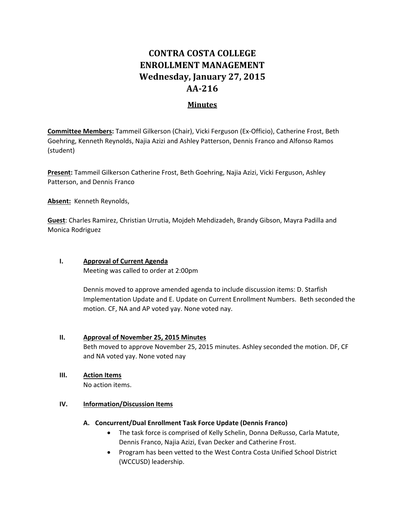## **CONTRA COSTA COLLEGE ENROLLMENT MANAGEMENT Wednesday, January 27, 2015 AA‐216**

## **Minutes**

**Committee Members:** Tammeil Gilkerson (Chair), Vicki Ferguson (Ex‐Officio), Catherine Frost, Beth Goehring, Kenneth Reynolds, Najia Azizi and Ashley Patterson, Dennis Franco and Alfonso Ramos (student)

**Present:** Tammeil Gilkerson Catherine Frost, Beth Goehring, Najia Azizi, Vicki Ferguson, Ashley Patterson, and Dennis Franco

**Absent:** Kenneth Reynolds,

**Guest**: Charles Ramirez, Christian Urrutia, Mojdeh Mehdizadeh, Brandy Gibson, Mayra Padilla and Monica Rodriguez

## **I. Approval of Current Agenda**

Meeting was called to order at 2:00pm

Dennis moved to approve amended agenda to include discussion items: D. Starfish Implementation Update and E. Update on Current Enrollment Numbers. Beth seconded the motion. CF, NA and AP voted yay. None voted nay.

### **II. Approval of November 25, 2015 Minutes**

Beth moved to approve November 25, 2015 minutes. Ashley seconded the motion. DF, CF and NA voted yay. None voted nay

# **III. Action Items**

No action items.

### **IV. Information/Discussion Items**

#### **A. Concurrent/Dual Enrollment Task Force Update (Dennis Franco)**

- The task force is comprised of Kelly Schelin, Donna DeRusso, Carla Matute, Dennis Franco, Najia Azizi, Evan Decker and Catherine Frost.
- Program has been vetted to the West Contra Costa Unified School District (WCCUSD) leadership.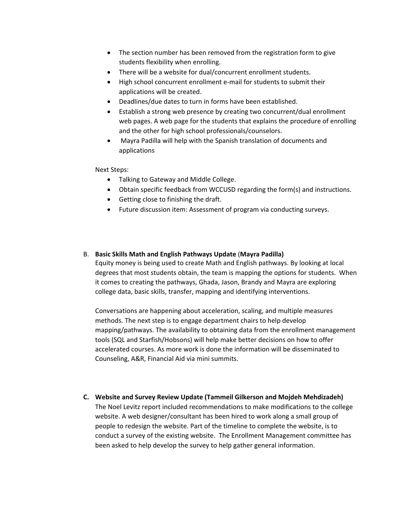- The section number has been removed from the registration form to give students flexibility when enrolling.
- There will be a website for dual/concurrent enrollment students.
- High school concurrent enrollment e-mail for students to submit their applications will be created.
- Deadlines/due dates to turn in forms have been established.
- Establish a strong web presence by creating two concurrent/dual enrollment web pages. A web page for the students that explains the procedure of enrolling and the other for high school professionals/counselors.
- Mayra Padilla will help with the Spanish translation of documents and applications

#### Next Steps:

- Talking to Gateway and Middle College.
- Obtain specific feedback from WCCUSD regarding the form(s) and instructions.
- Getting close to finishing the draft.
- Future discussion item: Assessment of program via conducting surveys.

#### B. **Basic Skills Math and English Pathways Update** (**Mayra Padilla)**

Equity money is being used to create Math and English pathways. By looking at local degrees that most students obtain, the team is mapping the options for students. When it comes to creating the pathways, Ghada, Jason, Brandy and Mayra are exploring college data, basic skills, transfer, mapping and identifying interventions.

Conversations are happening about acceleration, scaling, and multiple measures methods. The next step is to engage department chairs to help develop mapping/pathways. The availability to obtaining data from the enrollment management tools (SQL and Starfish/Hobsons) will help make better decisions on how to offer accelerated courses. As more work is done the information will be disseminated to Counseling, A&R, Financial Aid via mini summits.

**C. Website and Survey Review Update (Tammeil Gilkerson and Mojdeh Mehdizadeh)** The Noel Levitz report included recommendations to make modifications to the college website. A web designer/consultant has been hired to work along a small group of people to redesign the website. Part of the timeline to complete the website, is to conduct a survey of the existing website. The Enrollment Management committee has been asked to help develop the survey to help gather general information.